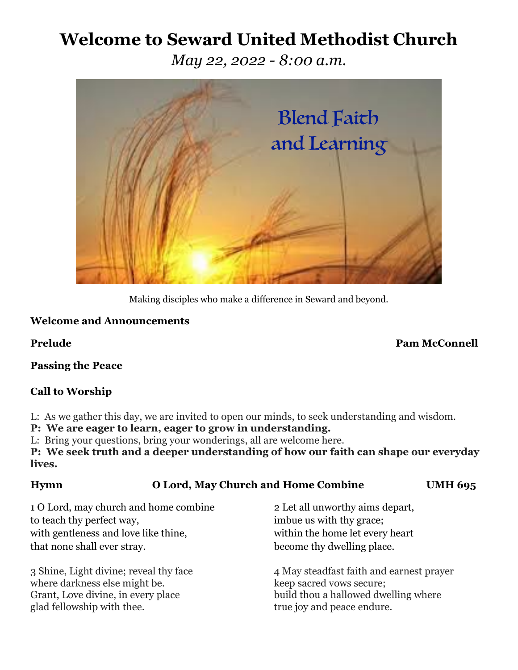# **Welcome to Seward United Methodist Church**

*May 22, 2022 - 8:00 a.m.*



Making disciples who make a difference in Seward and beyond.

### **Welcome and Announcements**

**Prelude Pam McConnell**

**Passing the Peace**

## **Call to Worship**

L: As we gather this day, we are invited to open our minds, to seek understanding and wisdom.

**P: We are eager to learn, eager to grow in understanding.**

L: Bring your questions, bring your wonderings, all are welcome here.

**P: We seek truth and a deeper understanding of how our faith can shape our everyday lives.**

# **Hymn O Lord, May Church and Home Combine UMH 695**

1 O Lord, may church and home combine 2 Let all unworthy aims depart, to teach thy perfect way, imbue us with thy grace; with gentleness and love like thine, within the home let every heart that none shall ever stray. become thy dwelling place.

where darkness else might be. keep sacred vows secure; glad fellowship with thee. true joy and peace endure.

3 Shine, Light divine; reveal thy face 4 May steadfast faith and earnest prayer Grant, Love divine, in every place build thou a hallowed dwelling where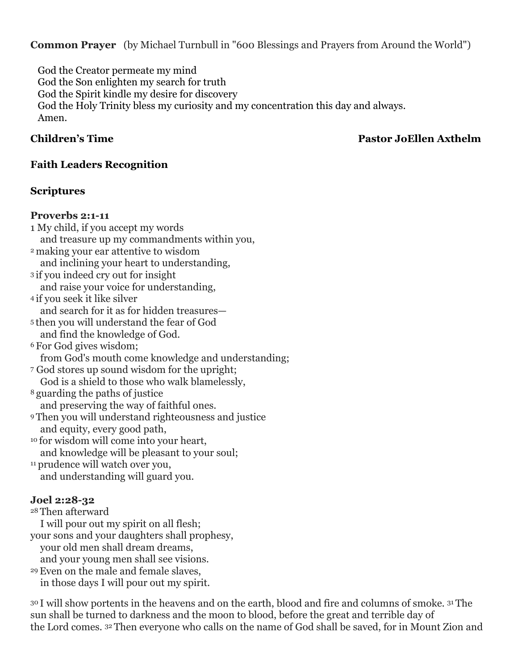**Common Prayer** (by Michael Turnbull in "600 Blessings and Prayers from Around the World")

 God the Creator permeate my mind God the Son enlighten my search for truth God the Spirit kindle my desire for discovery God the Holy Trinity bless my curiosity and my concentration this day and always. Amen.

### **Children's Time Pastor JoEllen Axthelm**

### **Faith Leaders Recognition**

### **Scriptures**

### **Proverbs 2:1-11**

1 My child, if you accept my words and treasure up my commandments within you, <sup>2</sup> making your ear attentive to wisdom and inclining your heart to understanding, <sup>3</sup> if you indeed cry out for insight and raise your voice for understanding, <sup>4</sup> if you seek it like silver and search for it as for hidden treasures— <sup>5</sup> then you will understand the fear of God and find the knowledge of God. <sup>6</sup> For God gives wisdom; from God's mouth come knowledge and understanding; <sup>7</sup> God stores up sound wisdom for the upright; God is a shield to those who walk blamelessly, <sup>8</sup> guarding the paths of justice and preserving the way of faithful ones. <sup>9</sup> Then you will understand righteousness and justice and equity, every good path, <sup>10</sup> for wisdom will come into your heart, and knowledge will be pleasant to your soul; <sup>11</sup> prudence will watch over you, and understanding will guard you. **Joel 2:28-32** <sup>28</sup> Then afterward I will pour out my spirit on all flesh; your sons and your daughters shall prophesy, your old men shall dream dreams,

and your young men shall see visions.

29Even on the male and female slaves, in those days I will pour out my spirit.

<sup>30</sup> I will show portents in the heavens and on the earth, blood and fire and columns of smoke. <sup>31</sup> The sun shall be turned to darkness and the moon to blood, before the great and terrible day of the Lord comes. <sup>32</sup> Then everyone who calls on the name of God shall be saved, for in Mount Zion and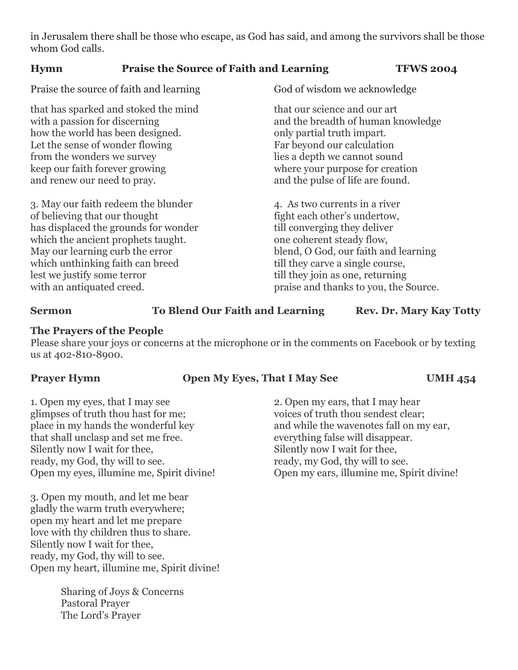in Jerusalem there shall be those who escape, as God has said, and among the survivors shall be those whom God calls.

| <b>Hymn</b> | <b>Praise the Source of Faith and Learning</b> | <b>TFWS 2004</b> |
|-------------|------------------------------------------------|------------------|
|-------------|------------------------------------------------|------------------|

Praise the source of faith and learning God of wisdom we acknowledge

that has sparked and stoked the mind<br>with a passion for discerning that our science and our art<br>and the breadth of human k how the world has been designed.  $\qquad \qquad \text{only partial truth impart.}$ Let the sense of wonder flowing Far beyond our calculation from the wonders we survey lies a depth we cannot sound keep our faith forever growing where your purpose for creation and renew our need to pray.  $\qquad \qquad \text{and the pulse of life are found.}$ 

3. May our faith redeem the blunder 4. As two currents in a river of believing that our thought fight each other's undertow, has displaced the grounds for wonder till converging they deliver which the ancient prophets taught. one coherent steady flow, May our learning curb the error blend, O God, our faith and learning which unthinking faith can breed till they carve a single course, lest we justify some terror till they join as one, returning with an antiquated creed. praise and thanks to you, the Source.

and the breadth of human knowledge

### **Sermon To Blend Our Faith and Learning Rev. Dr. Mary Kay Totty**

### **The Prayers of the People**

Please share your joys or concerns at the microphone or in the comments on Facebook or by texting us at 402-810-8900.

### **Prayer Hymn Open My Eyes, That I May See UMH 454**

1. Open my eyes, that I may see 2. Open my ears, that I may hear glimpses of truth thou hast for me; voices of truth thou sendest clear; place in my hands the wonderful key and while the wavenotes fall on my ear, that shall unclasp and set me free. everything false will disappear. Silently now I wait for thee,<br>Silently now I wait for thee, ready, my God, thy will to see. ready, my God, thy will to see. Open my eyes, illumine me, Spirit divine! Open my ears, illumine me, Spirit divine!

3. Open my mouth, and let me bear gladly the warm truth everywhere; open my heart and let me prepare love with thy children thus to share. Silently now I wait for thee, ready, my God, thy will to see. Open my heart, illumine me, Spirit divine!

> Sharing of Joys & Concerns Pastoral Prayer The Lord's Prayer